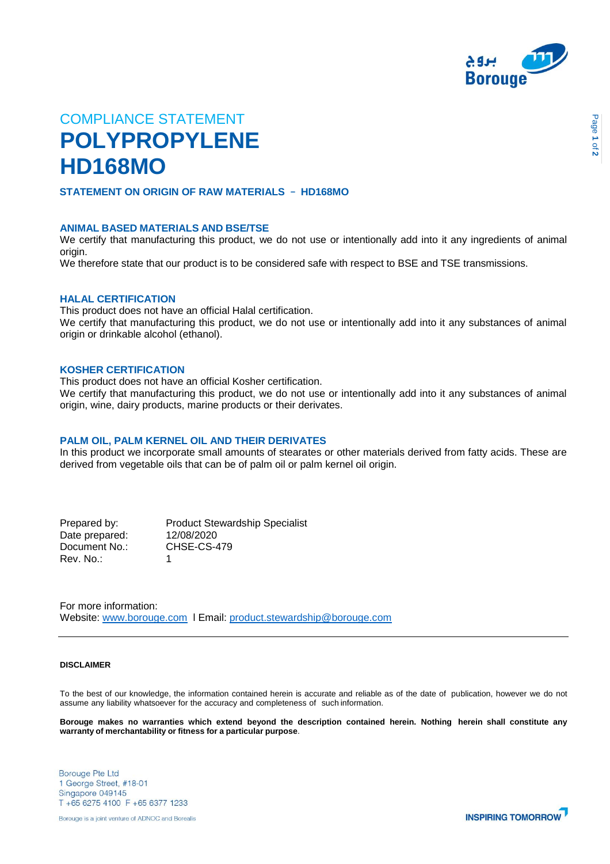

# COMPLIANCE STATEMENT **POLYPROPYLENE HD168MO**

## **STATEMENT ON ORIGIN OF RAW MATERIALS** – **HD168MO**

## **ANIMAL BASED MATERIALS AND BSE/TSE**

We certify that manufacturing this product, we do not use or intentionally add into it any ingredients of animal origin.

We therefore state that our product is to be considered safe with respect to BSE and TSE transmissions.

### **HALAL CERTIFICATION**

This product does not have an official Halal certification.

We certify that manufacturing this product, we do not use or intentionally add into it any substances of animal origin or drinkable alcohol (ethanol).

## **KOSHER CERTIFICATION**

This product does not have an official Kosher certification.

We certify that manufacturing this product, we do not use or intentionally add into it any substances of animal origin, wine, dairy products, marine products or their derivates.

## **PALM OIL, PALM KERNEL OIL AND THEIR DERIVATES**

In this product we incorporate small amounts of stearates or other materials derived from fatty acids. These are derived from vegetable oils that can be of palm oil or palm kernel oil origin.

Date prepared: 12/08/2020<br>Document No.: CHSE-CS-479 Document No.: Rev. No.: 1

Prepared by: Product Stewardship Specialist

For more information: Website: [www.borouge.com](http://www.borouge.com/) l Email: [product.stewardship@borouge.com](mailto:product.stewardship@borouge.com)

#### **DISCLAIMER**

To the best of our knowledge, the information contained herein is accurate and reliable as of the date of publication, however we do not assume any liability whatsoever for the accuracy and completeness of such information.

Borouge makes no warranties which extend beyond the description contained herein. Nothing herein shall constitute any **warranty of merchantability or fitness for a particular purpose**.

**Borouge Pte Ltd** 1 George Street, #18-01 Singapore 049145 T +65 6275 4100 F +65 6377 1233